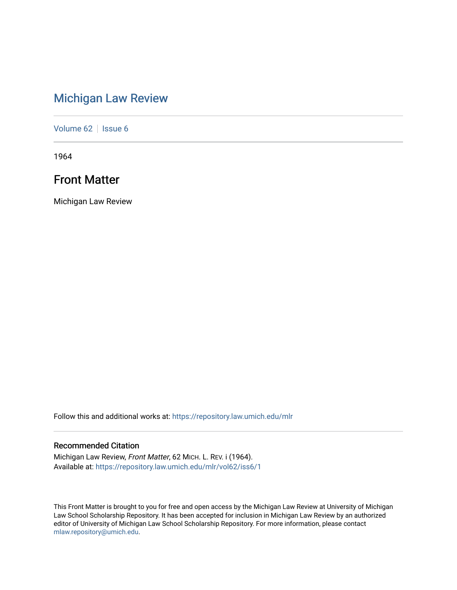## [Michigan Law Review](https://repository.law.umich.edu/mlr)

[Volume 62](https://repository.law.umich.edu/mlr/vol62) | [Issue 6](https://repository.law.umich.edu/mlr/vol62/iss6)

1964

### Front Matter

Michigan Law Review

Follow this and additional works at: [https://repository.law.umich.edu/mlr](https://repository.law.umich.edu/mlr?utm_source=repository.law.umich.edu%2Fmlr%2Fvol62%2Fiss6%2F1&utm_medium=PDF&utm_campaign=PDFCoverPages) 

### Recommended Citation

Michigan Law Review, Front Matter, 62 MICH. L. REV. i (1964). Available at: [https://repository.law.umich.edu/mlr/vol62/iss6/1](https://repository.law.umich.edu/mlr/vol62/iss6/1?utm_source=repository.law.umich.edu%2Fmlr%2Fvol62%2Fiss6%2F1&utm_medium=PDF&utm_campaign=PDFCoverPages)

This Front Matter is brought to you for free and open access by the Michigan Law Review at University of Michigan Law School Scholarship Repository. It has been accepted for inclusion in Michigan Law Review by an authorized editor of University of Michigan Law School Scholarship Repository. For more information, please contact [mlaw.repository@umich.edu.](mailto:mlaw.repository@umich.edu)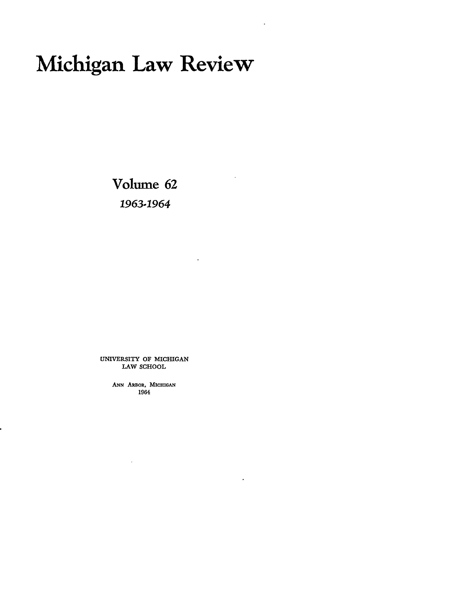# Michigan Law Review

Volume 62 *1963-1964* 

UNIVERSITY OF MICHIGAN LAW SCHOOL

> ANN ARBOR, MICHIGAN 1964

> > $\bar{\mathcal{A}}$

 $\epsilon$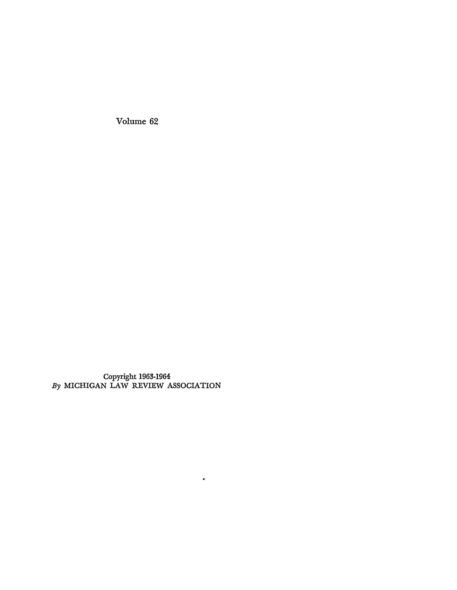Volume 62

Copyright 1963-1964 *By* MICHIGAN LAW REVIEW ASSOCIATION

 $\bullet$